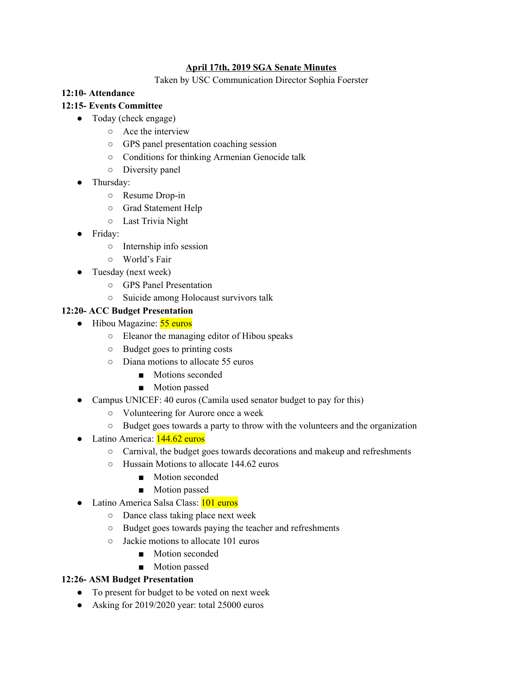### **April 17th, 2019 SGA Senate Minutes**

Taken by USC Communication Director Sophia Foerster

#### **12:10- Attendance**

### **12:15- Events Committee**

- Today (check engage)
	- Ace the interview
	- GPS panel presentation coaching session
	- Conditions for thinking Armenian Genocide talk
	- Diversity panel
- Thursday:
	- Resume Drop-in
	- Grad Statement Help
	- Last Trivia Night
- Friday:
	- Internship info session
	- World's Fair
- Tuesday (next week)
	- GPS Panel Presentation
	- Suicide among Holocaust survivors talk

### **12:20- ACC Budget Presentation**

- Hibou Magazine: 55 euros
	- Eleanor the managing editor of Hibou speaks
	- Budget goes to printing costs
	- Diana motions to allocate 55 euros
		- Motions seconded
		- Motion passed
- Campus UNICEF: 40 euros (Camila used senator budget to pay for this)
	- Volunteering for Aurore once a week
	- Budget goes towards a party to throw with the volunteers and the organization
- Latino America: 144.62 euros
	- Carnival, the budget goes towards decorations and makeup and refreshments
	- Hussain Motions to allocate 144.62 euros
		- Motion seconded
		- Motion passed
- Latino America Salsa Class: 101 euros
	- Dance class taking place next week
	- Budget goes towards paying the teacher and refreshments
	- Jackie motions to allocate 101 euros
		- Motion seconded
		- Motion passed

### **12:26- ASM Budget Presentation**

- To present for budget to be voted on next week
- Asking for 2019/2020 year: total 25000 euros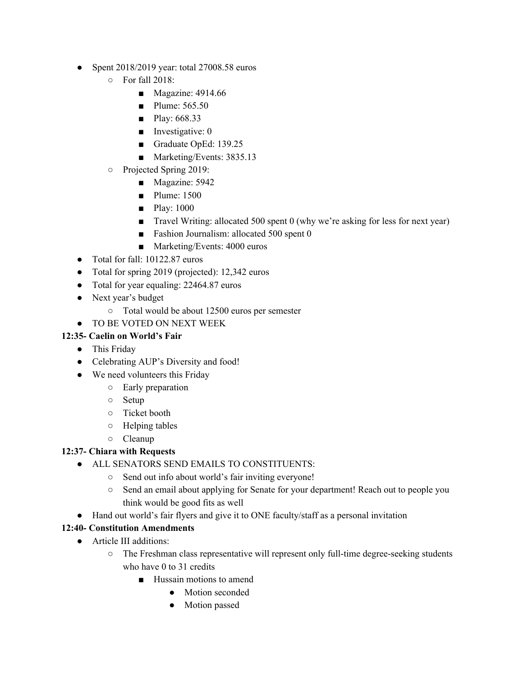- Spent 2018/2019 year: total 27008.58 euros
	- For fall 2018:
		- Magazine: 4914.66
		- Plume: 565.50
		- Play: 668.33
		- Investigative: 0
		- Graduate OpEd: 139.25
		- Marketing/Events: 3835.13
	- Projected Spring 2019:
		- Magazine: 5942
		- Plume: 1500
		- Play: 1000
		- Travel Writing: allocated 500 spent 0 (why we're asking for less for next year)
		- Fashion Journalism: allocated 500 spent 0
		- Marketing/Events: 4000 euros
- Total for fall: 10122.87 euros
- Total for spring 2019 (projected): 12,342 euros
- Total for year equaling: 22464.87 euros
- Next year's budget
	- Total would be about 12500 euros per semester

# ● TO BE VOTED ON NEXT WEEK

# **12:35- Caelin on World's Fair**

- This Friday
- Celebrating AUP's Diversity and food!
- We need volunteers this Friday
	- Early preparation
	- Setup
	- Ticket booth
	- Helping tables
	- Cleanup

## **12:37- Chiara with Requests**

- ALL SENATORS SEND EMAILS TO CONSTITUENTS:
	- Send out info about world's fair inviting everyone!
	- Send an email about applying for Senate for your department! Reach out to people you think would be good fits as well
- Hand out world's fair flyers and give it to ONE faculty/staff as a personal invitation

## **12:40- Constitution Amendments**

- Article III additions:
	- The Freshman class representative will represent only full-time degree-seeking students who have 0 to 31 credits
		- Hussain motions to amend
			- Motion seconded
			- Motion passed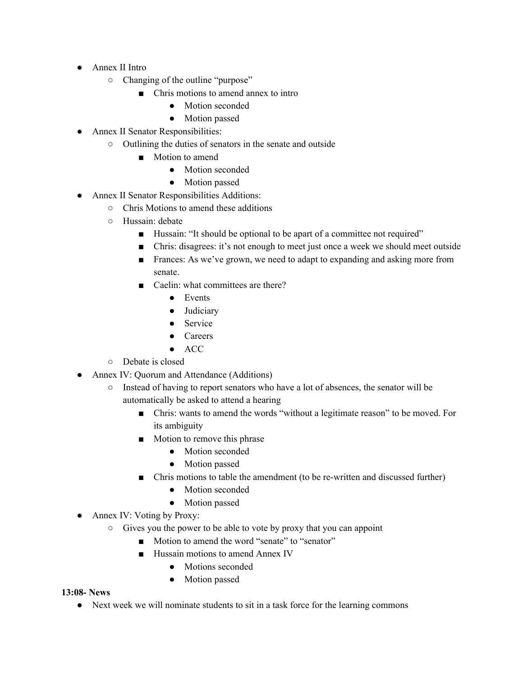- Annex II Intro
	- Changing of the outline "purpose"
		- Chris motions to amend annex to intro
			- Motion seconded
			- Motion passed
- Annex II Senator Responsibilities:
	- Outlining the duties of senators in the senate and outside
		- Motion to amend
			- Motion seconded
			- Motion passed
- Annex II Senator Responsibilities Additions:
	- Chris Motions to amend these additions
		- Hussain: debate
			- Hussain: "It should be optional to be apart of a committee not required"
			- Chris: disagrees: it's not enough to meet just once a week we should meet outside
			- Frances: As we've grown, we need to adapt to expanding and asking more from senate.
			- Caelin: what committees are there?
				- Events
				- Judiciary
				- Service
				- Careers
				- ACC
		- Debate is closed
- Annex IV: Quorum and Attendance (Additions)
	- Instead of having to report senators who have a lot of absences, the senator will be automatically be asked to attend a hearing
		- Chris: wants to amend the words "without a legitimate reason" to be moved. For its ambiguity
		- Motion to remove this phrase
			- Motion seconded
			- Motion passed
		- Chris motions to table the amendment (to be re-written and discussed further)
			- Motion seconded
			- Motion passed
- Annex IV: Voting by Proxy:
	- Gives you the power to be able to vote by proxy that you can appoint
		- Motion to amend the word "senate" to "senator"
		- Hussain motions to amend Annex IV
			- Motions seconded
			- Motion passed

### **13:08- News**

● Next week we will nominate students to sit in a task force for the learning commons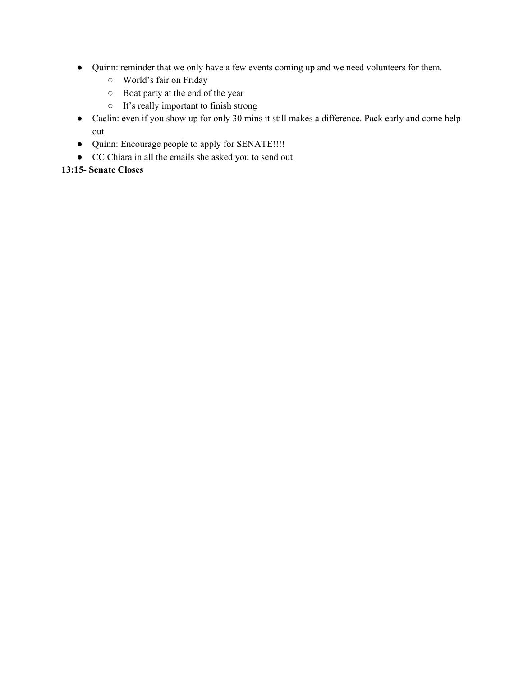- Quinn: reminder that we only have a few events coming up and we need volunteers for them.
	- World's fair on Friday
	- Boat party at the end of the year
	- It's really important to finish strong
- Caelin: even if you show up for only 30 mins it still makes a difference. Pack early and come help out
- Quinn: Encourage people to apply for SENATE!!!!
- CC Chiara in all the emails she asked you to send out

### **13:15- Senate Closes**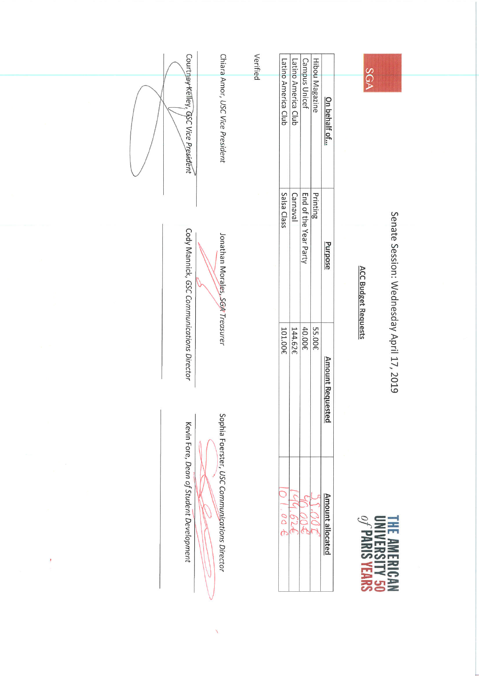